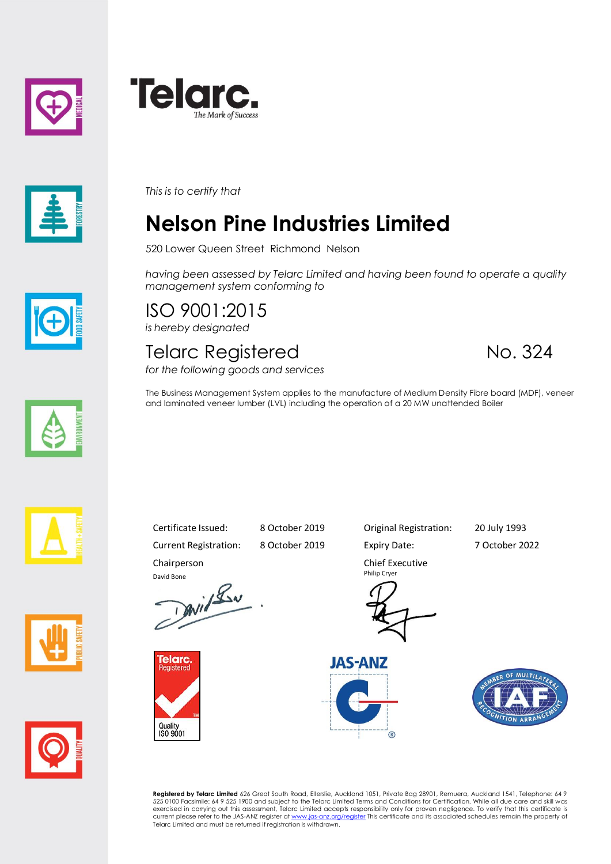





*This is to certify that*

## **Nelson Pine Industries Limited**

520 Lower Queen Street Richmond Nelson

*having been assessed by Telarc Limited and having been found to operate a quality management system conforming to*

ISO 9001:2015 *is hereby designated*

## Telarc Registered No. 324

*for the following goods and services*

The Business Management System applies to the manufacture of Medium Density Fibre board (MDF), veneer and laminated veneer lumber (LVL) including the operation of a 20 MW unattended Boiler









Current Registration: 8 October 2019 Expiry Date: 7 October 2022 Chairperson

David Bone<br>David Lav



Certificate Issued: 8 October 2019 Original Registration: 20 July 1993

Chief Executive Philip Cryer







**Registered by Telarc Limited** 626 Great South Road, Ellerslie, Auckland 1051, Private Bag 28901, Remuera, Auckland 1541, Telephone: 64 9<br>525 0100 Facsimile: 64 9 525 1900 and subject to the Telarc Limited Terms and Condit